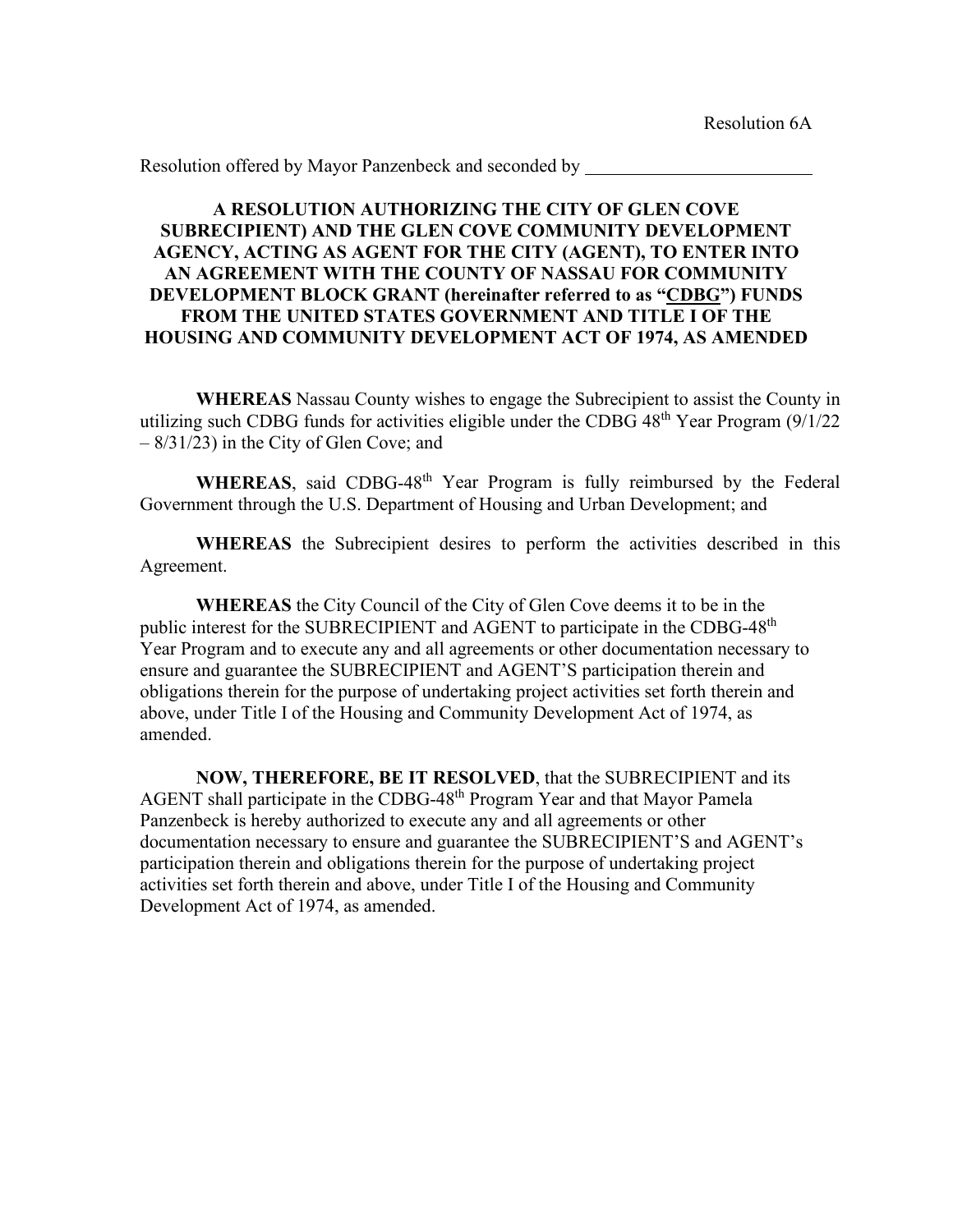## **A RESOLUTION AUTHORIZING THE CITY OF GLEN COVE SUBRECIPIENT) AND THE GLEN COVE COMMUNITY DEVELOPMENT AGENCY, ACTING AS AGENT FOR THE CITY (AGENT), TO ENTER INTO AN AGREEMENT WITH THE COUNTY OF NASSAU FOR COMMUNITY DEVELOPMENT BLOCK GRANT (hereinafter referred to as "CDBG") FUNDS FROM THE UNITED STATES GOVERNMENT AND TITLE I OF THE HOUSING AND COMMUNITY DEVELOPMENT ACT OF 1974, AS AMENDED**

**WHEREAS** Nassau County wishes to engage the Subrecipient to assist the County in utilizing such CDBG funds for activities eligible under the CDBG  $48<sup>th</sup>$  Year Program (9/1/22) – 8/31/23) in the City of Glen Cove; and

WHEREAS, said CDBG-48<sup>th</sup> Year Program is fully reimbursed by the Federal Government through the U.S. Department of Housing and Urban Development; and

**WHEREAS** the Subrecipient desires to perform the activities described in this Agreement.

 **WHEREAS** the City Council of the City of Glen Cove deems it to be in the public interest for the SUBRECIPIENT and AGENT to participate in the CDBG-48<sup>th</sup> Year Program and to execute any and all agreements or other documentation necessary to ensure and guarantee the SUBRECIPIENT and AGENT'S participation therein and obligations therein for the purpose of undertaking project activities set forth therein and above, under Title I of the Housing and Community Development Act of 1974, as amended.

 **NOW, THEREFORE, BE IT RESOLVED**, that the SUBRECIPIENT and its AGENT shall participate in the CDBG-48<sup>th</sup> Program Year and that Mayor Pamela Panzenbeck is hereby authorized to execute any and all agreements or other documentation necessary to ensure and guarantee the SUBRECIPIENT'S and AGENT's participation therein and obligations therein for the purpose of undertaking project activities set forth therein and above, under Title I of the Housing and Community Development Act of 1974, as amended.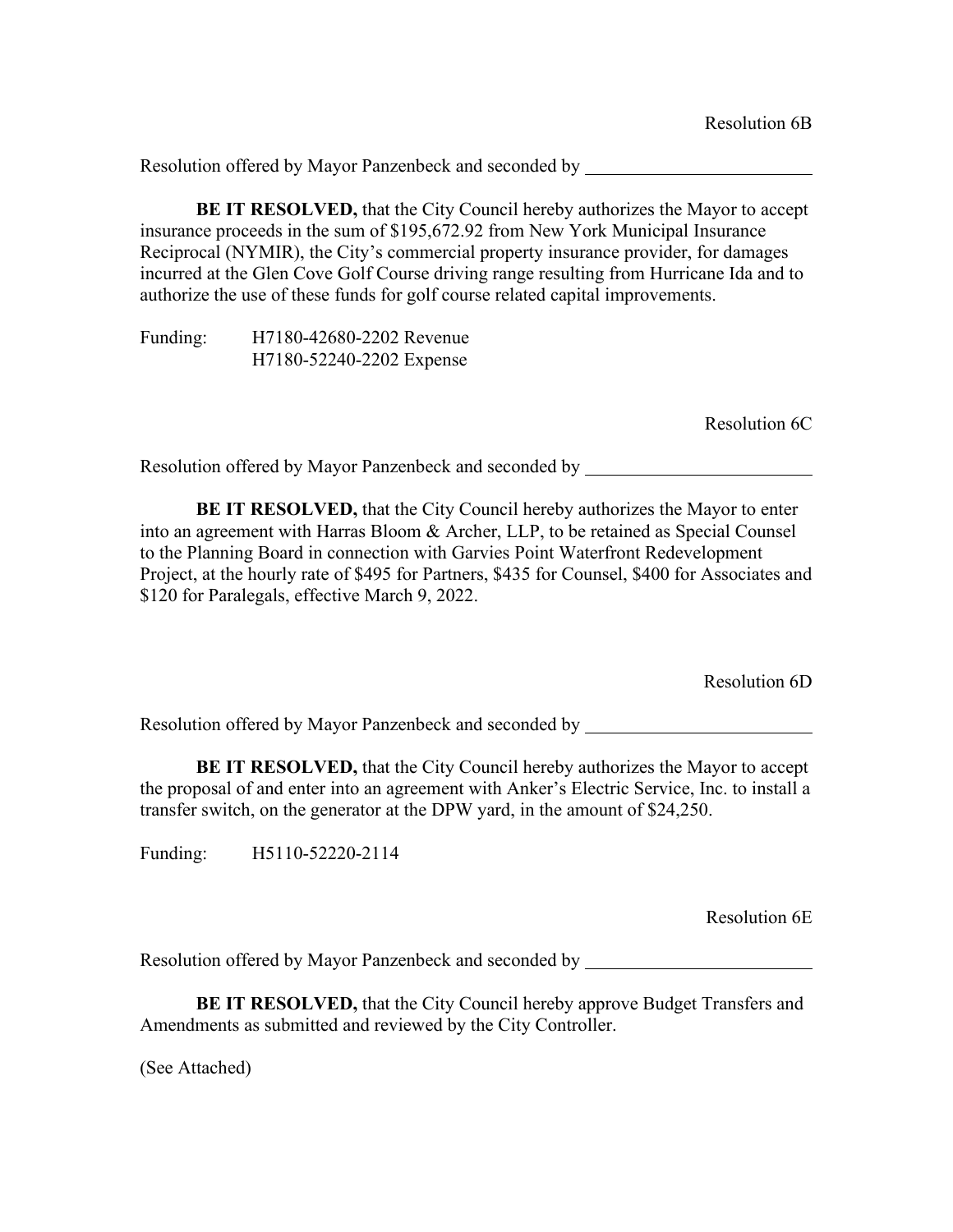**BE IT RESOLVED,** that the City Council hereby authorizes the Mayor to accept insurance proceeds in the sum of \$195,672.92 from New York Municipal Insurance Reciprocal (NYMIR), the City's commercial property insurance provider, for damages incurred at the Glen Cove Golf Course driving range resulting from Hurricane Ida and to authorize the use of these funds for golf course related capital improvements.

Funding: H7180-42680-2202 Revenue H7180-52240-2202 Expense

Resolution 6C

Resolution offered by Mayor Panzenbeck and seconded by

**BE IT RESOLVED,** that the City Council hereby authorizes the Mayor to enter into an agreement with Harras Bloom & Archer, LLP, to be retained as Special Counsel to the Planning Board in connection with Garvies Point Waterfront Redevelopment Project, at the hourly rate of \$495 for Partners, \$435 for Counsel, \$400 for Associates and \$120 for Paralegals, effective March 9, 2022.

Resolution 6D

Resolution offered by Mayor Panzenbeck and seconded by

**BE IT RESOLVED,** that the City Council hereby authorizes the Mayor to accept the proposal of and enter into an agreement with Anker's Electric Service, Inc. to install a transfer switch, on the generator at the DPW yard, in the amount of \$24,250.

Funding: H5110-52220-2114

Resolution 6E

Resolution offered by Mayor Panzenbeck and seconded by

**BE IT RESOLVED,** that the City Council hereby approve Budget Transfers and Amendments as submitted and reviewed by the City Controller.

(See Attached)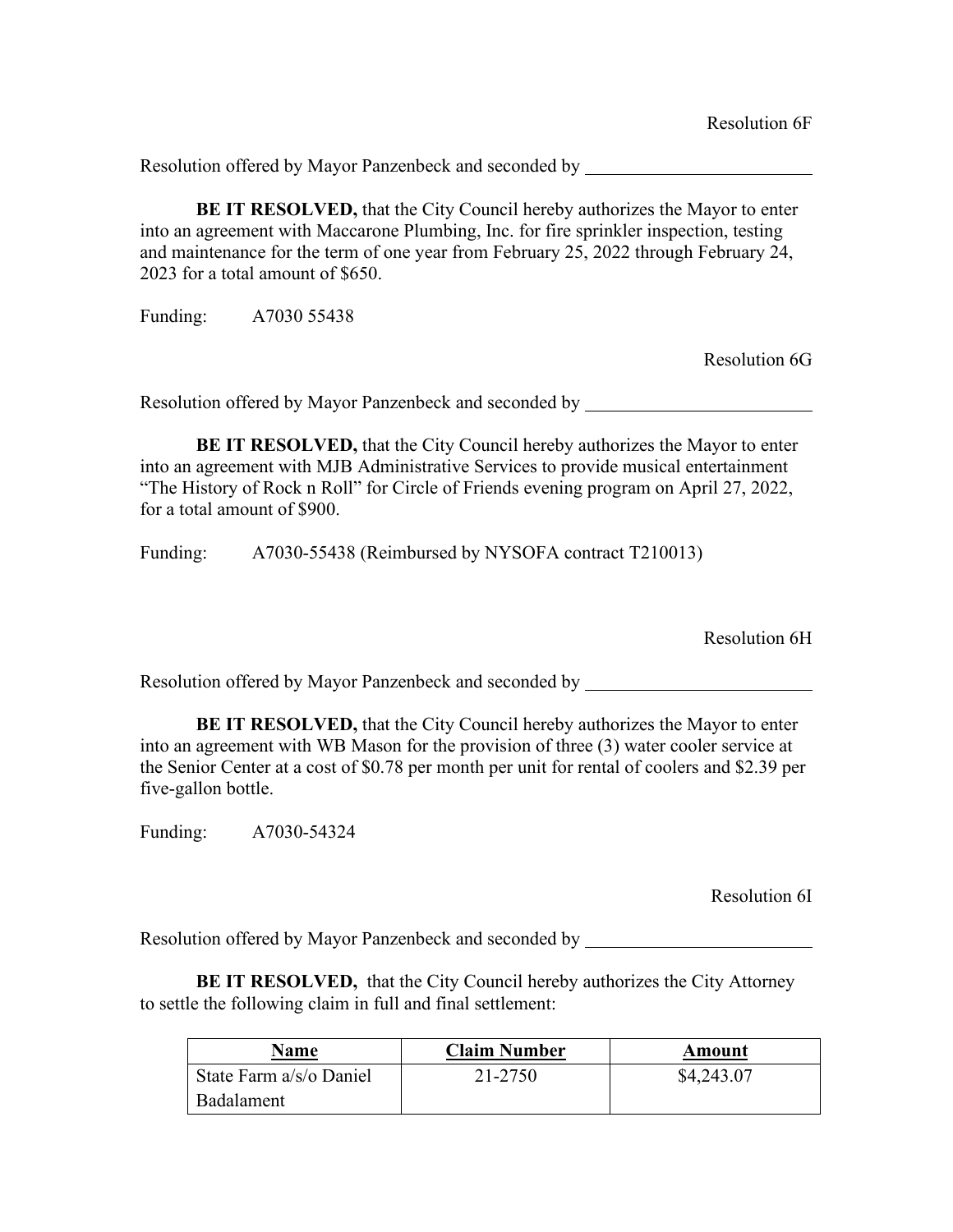**BE IT RESOLVED,** that the City Council hereby authorizes the Mayor to enter into an agreement with Maccarone Plumbing, Inc. for fire sprinkler inspection, testing and maintenance for the term of one year from February 25, 2022 through February 24, 2023 for a total amount of \$650.

Funding: A7030 55438

Resolution 6G

Resolution offered by Mayor Panzenbeck and seconded by

**BE IT RESOLVED,** that the City Council hereby authorizes the Mayor to enter into an agreement with MJB Administrative Services to provide musical entertainment "The History of Rock n Roll" for Circle of Friends evening program on April 27, 2022, for a total amount of \$900.

Funding: A7030-55438 (Reimbursed by NYSOFA contract T210013)

Resolution 6H

Resolution offered by Mayor Panzenbeck and seconded by

**BE IT RESOLVED,** that the City Council hereby authorizes the Mayor to enter into an agreement with WB Mason for the provision of three (3) water cooler service at the Senior Center at a cost of \$0.78 per month per unit for rental of coolers and \$2.39 per five-gallon bottle.

Funding: A7030-54324

Resolution 6I

Resolution offered by Mayor Panzenbeck and seconded by \_\_\_\_\_\_\_\_\_\_\_\_\_\_\_\_\_\_\_\_\_\_\_\_\_

**BE IT RESOLVED,** that the City Council hereby authorizes the City Attorney to settle the following claim in full and final settlement:

| Name                    | <b>Claim Number</b> | Amount     |
|-------------------------|---------------------|------------|
| State Farm a/s/o Daniel | 21-2750             | \$4,243.07 |
| <b>Badalament</b>       |                     |            |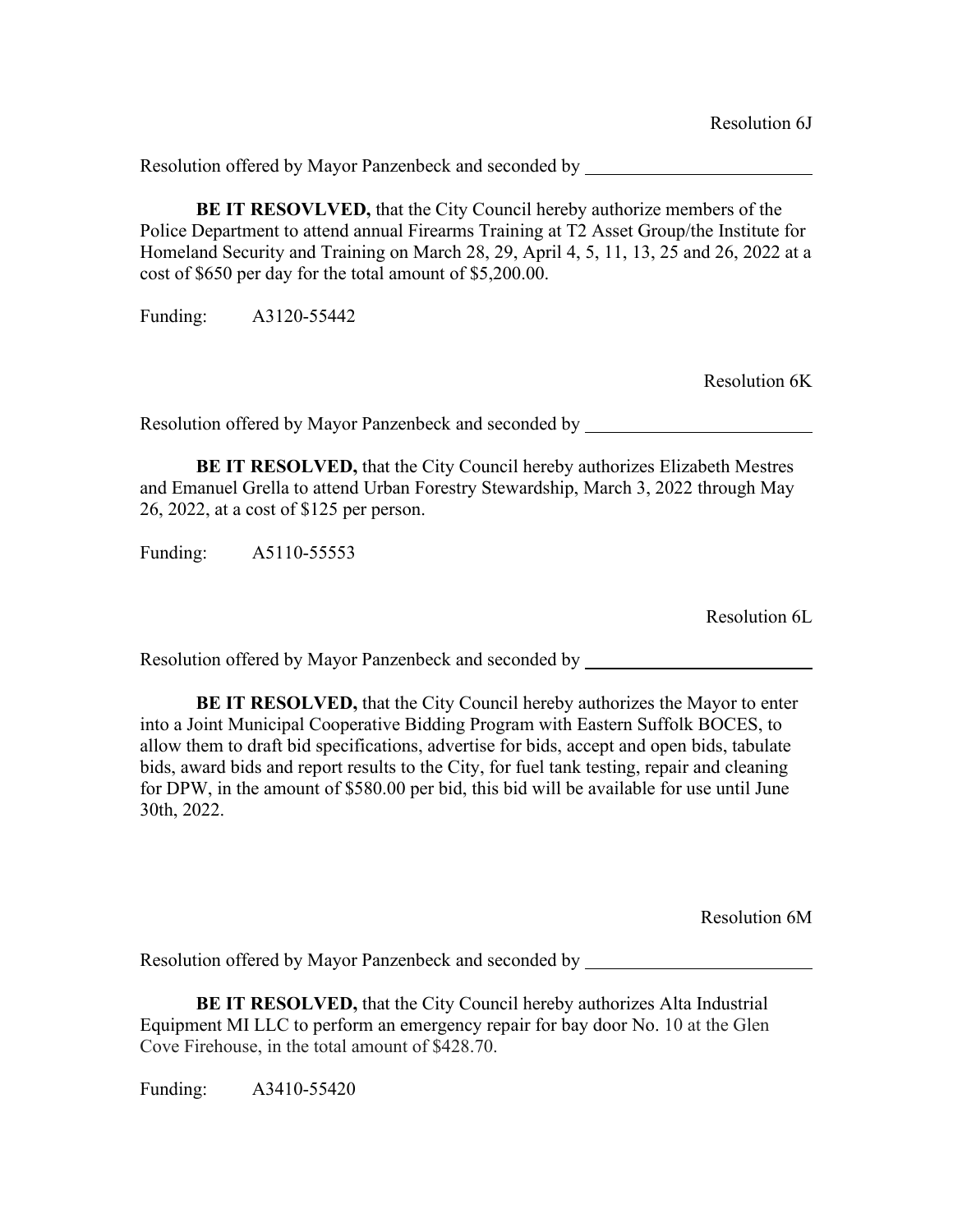**BE IT RESOVLVED,** that the City Council hereby authorize members of the Police Department to attend annual Firearms Training at T2 Asset Group/the Institute for Homeland Security and Training on March 28, 29, April 4, 5, 11, 13, 25 and 26, 2022 at a cost of \$650 per day for the total amount of \$5,200.00.

Funding: A3120-55442

Resolution 6K

Resolution offered by Mayor Panzenbeck and seconded by

**BE IT RESOLVED,** that the City Council hereby authorizes Elizabeth Mestres and Emanuel Grella to attend Urban Forestry Stewardship, March 3, 2022 through May 26, 2022, at a cost of \$125 per person.

Funding: A5110-55553

Resolution 6L

Resolution offered by Mayor Panzenbeck and seconded by

**BE IT RESOLVED,** that the City Council hereby authorizes the Mayor to enter into a Joint Municipal Cooperative Bidding Program with Eastern Suffolk BOCES, to allow them to draft bid specifications, advertise for bids, accept and open bids, tabulate bids, award bids and report results to the City, for fuel tank testing, repair and cleaning for DPW, in the amount of \$580.00 per bid, this bid will be available for use until June 30th, 2022.

Resolution 6M

Resolution offered by Mayor Panzenbeck and seconded by

**BE IT RESOLVED,** that the City Council hereby authorizes Alta Industrial Equipment MI LLC to perform an emergency repair for bay door No. 10 at the Glen Cove Firehouse, in the total amount of \$428.70.

Funding: A3410-55420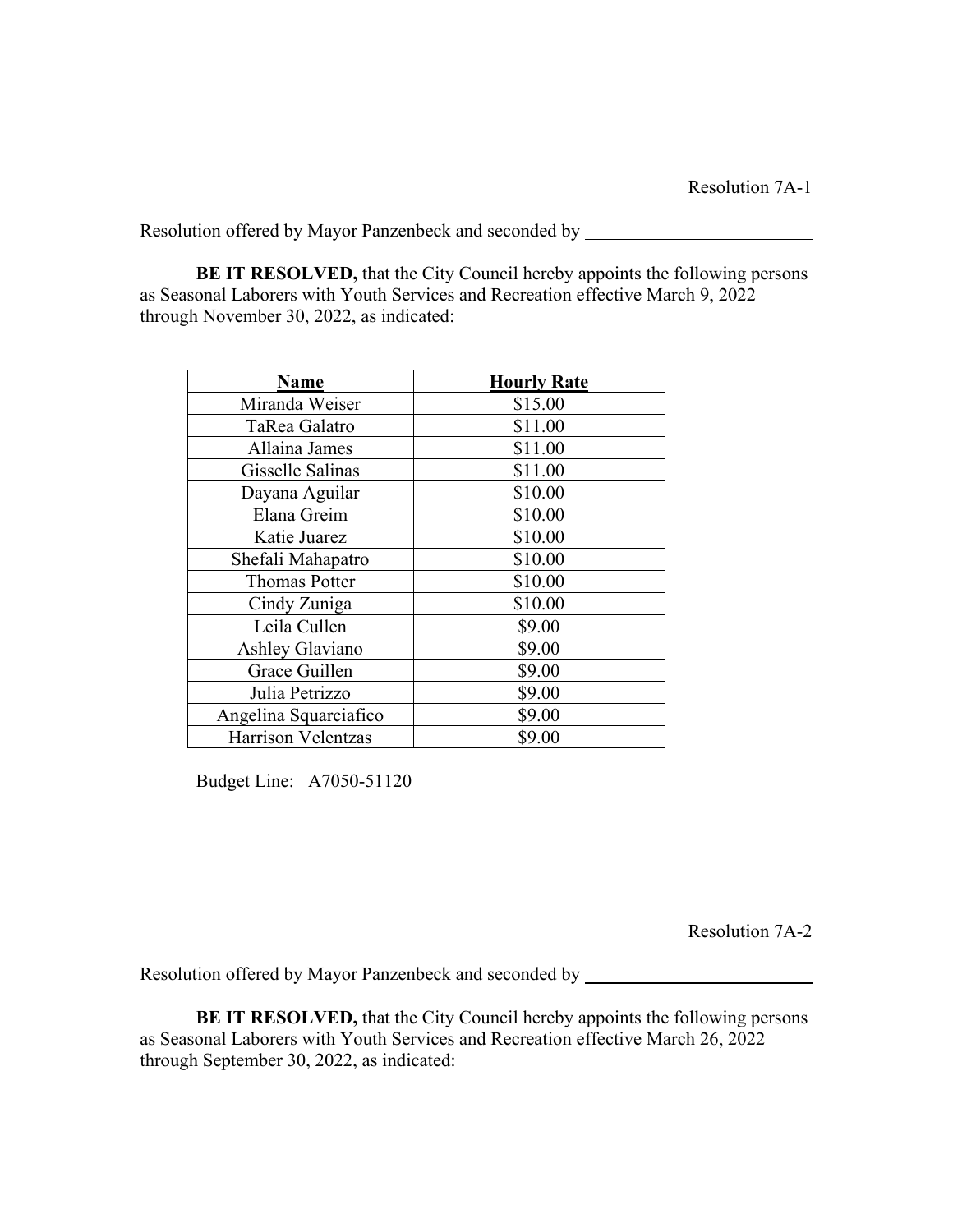**BE IT RESOLVED,** that the City Council hereby appoints the following persons as Seasonal Laborers with Youth Services and Recreation effective March 9, 2022 through November 30, 2022, as indicated:

| <b>Name</b>               | <b>Hourly Rate</b> |
|---------------------------|--------------------|
| Miranda Weiser            | \$15.00            |
| TaRea Galatro             | \$11.00            |
| Allaina James             | \$11.00            |
| Gisselle Salinas          | \$11.00            |
| Dayana Aguilar            | \$10.00            |
| Elana Greim               | \$10.00            |
| Katie Juarez              | \$10.00            |
| Shefali Mahapatro         | \$10.00            |
| <b>Thomas Potter</b>      | \$10.00            |
| Cindy Zuniga              | \$10.00            |
| Leila Cullen              | \$9.00             |
| Ashley Glaviano           | \$9.00             |
| Grace Guillen             | \$9.00             |
| Julia Petrizzo            | \$9.00             |
| Angelina Squarciafico     | \$9.00             |
| <b>Harrison Velentzas</b> | \$9.00             |

Budget Line: A7050-51120

Resolution 7A-2

Resolution offered by Mayor Panzenbeck and seconded by

**BE IT RESOLVED,** that the City Council hereby appoints the following persons as Seasonal Laborers with Youth Services and Recreation effective March 26, 2022 through September 30, 2022, as indicated: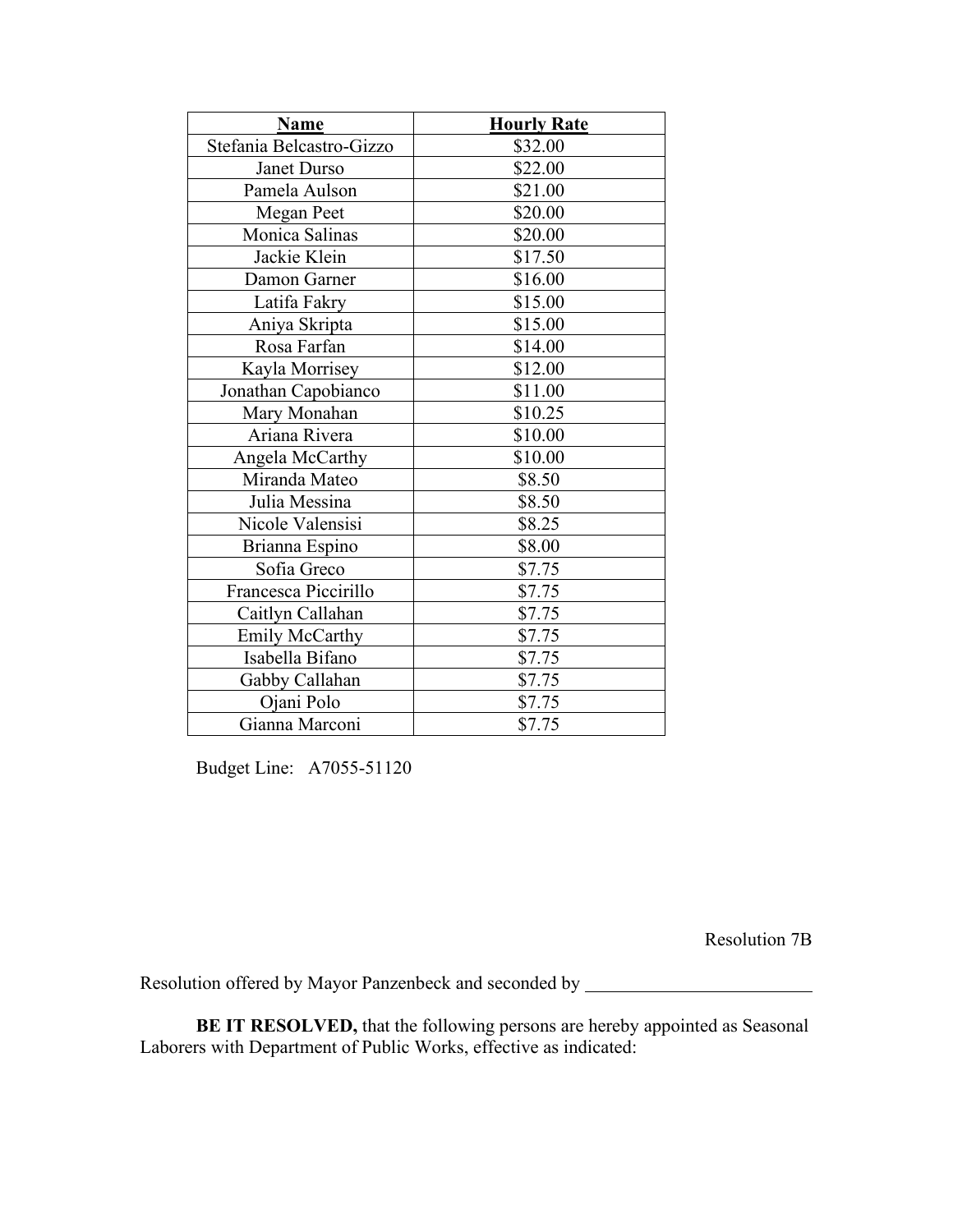| Name                     | <b>Hourly Rate</b> |
|--------------------------|--------------------|
| Stefania Belcastro-Gizzo | \$32.00            |
| Janet Durso              | \$22.00            |
| Pamela Aulson            | \$21.00            |
| Megan Peet               | \$20.00            |
| Monica Salinas           | \$20.00            |
| Jackie Klein             | \$17.50            |
| Damon Garner             | \$16.00            |
| Latifa Fakry             | \$15.00            |
| Aniya Skripta            | \$15.00            |
| Rosa Farfan              | \$14.00            |
| Kayla Morrisey           | \$12.00            |
| Jonathan Capobianco      | \$11.00            |
| Mary Monahan             | \$10.25            |
| Ariana Rivera            | \$10.00            |
| Angela McCarthy          | \$10.00            |
| Miranda Mateo            | \$8.50             |
| Julia Messina            | \$8.50             |
| Nicole Valensisi         | \$8.25             |
| Brianna Espino           | \$8.00             |
| Sofia Greco              | \$7.75             |
| Francesca Piccirillo     | \$7.75             |
| Caitlyn Callahan         | \$7.75             |
| <b>Emily McCarthy</b>    | \$7.75             |
| Isabella Bifano          | \$7.75             |
| Gabby Callahan           | \$7.75             |
| Ojani Polo               | \$7.75             |
| Gianna Marconi           | \$7.75             |

Budget Line: A7055-51120

Resolution 7B

Resolution offered by Mayor Panzenbeck and seconded by \_\_\_\_\_\_\_\_\_\_\_\_\_\_\_\_\_\_\_\_\_\_\_\_\_

**BE IT RESOLVED,** that the following persons are hereby appointed as Seasonal Laborers with Department of Public Works, effective as indicated: